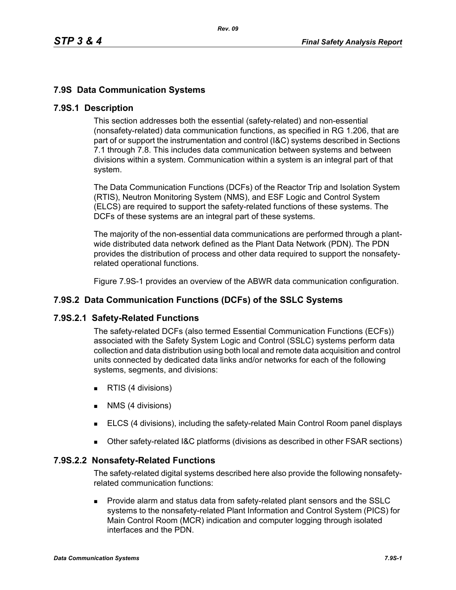## **7.9S Data Communication Systems**

### **7.9S.1 Description**

This section addresses both the essential (safety-related) and non-essential (nonsafety-related) data communication functions, as specified in RG 1.206, that are part of or support the instrumentation and control (I&C) systems described in Sections 7.1 through 7.8. This includes data communication between systems and between divisions within a system. Communication within a system is an integral part of that system.

The Data Communication Functions (DCFs) of the Reactor Trip and Isolation System (RTIS), Neutron Monitoring System (NMS), and ESF Logic and Control System (ELCS) are required to support the safety-related functions of these systems. The DCFs of these systems are an integral part of these systems.

The majority of the non-essential data communications are performed through a plantwide distributed data network defined as the Plant Data Network (PDN). The PDN provides the distribution of process and other data required to support the nonsafetyrelated operational functions.

Figure 7.9S-1 provides an overview of the ABWR data communication configuration.

### **7.9S.2 Data Communication Functions (DCFs) of the SSLC Systems**

#### **7.9S.2.1 Safety-Related Functions**

The safety-related DCFs (also termed Essential Communication Functions (ECFs)) associated with the Safety System Logic and Control (SSLC) systems perform data collection and data distribution using both local and remote data acquisition and control units connected by dedicated data links and/or networks for each of the following systems, segments, and divisions:

- **RTIS (4 divisions)**
- **NMS** (4 divisions)
- ELCS (4 divisions), including the safety-related Main Control Room panel displays
- Other safety-related I&C platforms (divisions as described in other FSAR sections)

#### **7.9S.2.2 Nonsafety-Related Functions**

The safety-related digital systems described here also provide the following nonsafetyrelated communication functions:

 Provide alarm and status data from safety-related plant sensors and the SSLC systems to the nonsafety-related Plant Information and Control System (PICS) for Main Control Room (MCR) indication and computer logging through isolated interfaces and the PDN.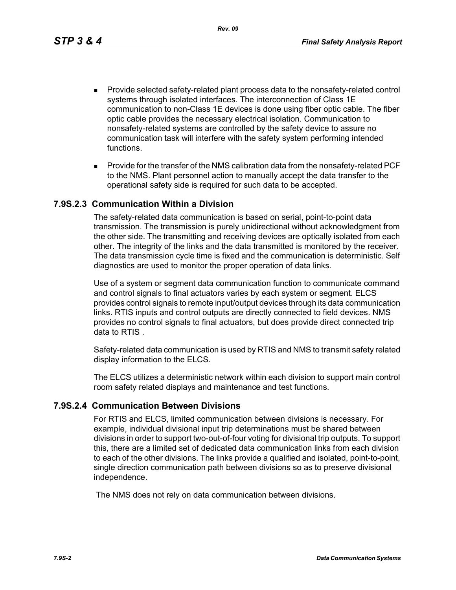*Rev. 09*

- **Provide selected safety-related plant process data to the nonsafety-related control** systems through isolated interfaces. The interconnection of Class 1E communication to non-Class 1E devices is done using fiber optic cable. The fiber optic cable provides the necessary electrical isolation. Communication to nonsafety-related systems are controlled by the safety device to assure no communication task will interfere with the safety system performing intended functions.
- **Provide for the transfer of the NMS calibration data from the nonsafety-related PCF** to the NMS. Plant personnel action to manually accept the data transfer to the operational safety side is required for such data to be accepted.

### **7.9S.2.3 Communication Within a Division**

The safety-related data communication is based on serial, point-to-point data transmission. The transmission is purely unidirectional without acknowledgment from the other side. The transmitting and receiving devices are optically isolated from each other. The integrity of the links and the data transmitted is monitored by the receiver. The data transmission cycle time is fixed and the communication is deterministic. Self diagnostics are used to monitor the proper operation of data links.

Use of a system or segment data communication function to communicate command and control signals to final actuators varies by each system or segment. ELCS provides control signals to remote input/output devices through its data communication links. RTIS inputs and control outputs are directly connected to field devices. NMS provides no control signals to final actuators, but does provide direct connected trip data to RTIS .

Safety-related data communication is used by RTIS and NMS to transmit safety related display information to the ELCS.

The ELCS utilizes a deterministic network within each division to support main control room safety related displays and maintenance and test functions.

### **7.9S.2.4 Communication Between Divisions**

For RTIS and ELCS, limited communication between divisions is necessary. For example, individual divisional input trip determinations must be shared between divisions in order to support two-out-of-four voting for divisional trip outputs. To support this, there are a limited set of dedicated data communication links from each division to each of the other divisions. The links provide a qualified and isolated, point-to-point, single direction communication path between divisions so as to preserve divisional independence.

The NMS does not rely on data communication between divisions.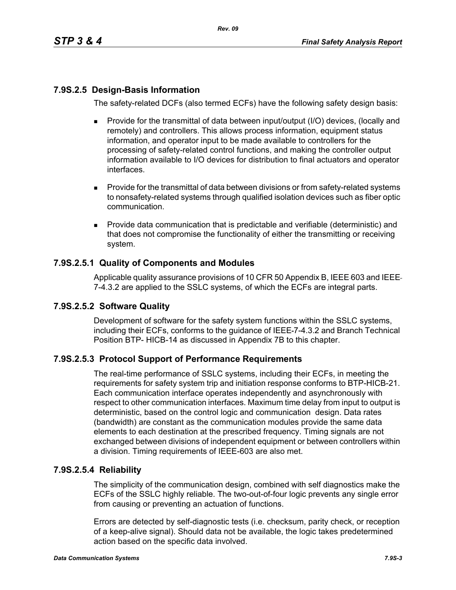# **7.9S.2.5 Design-Basis Information**

The safety-related DCFs (also termed ECFs) have the following safety design basis:

- Provide for the transmittal of data between input/output (I/O) devices, (locally and remotely) and controllers. This allows process information, equipment status information, and operator input to be made available to controllers for the processing of safety-related control functions, and making the controller output information available to I/O devices for distribution to final actuators and operator interfaces.
- **Provide for the transmittal of data between divisions or from safety-related systems** to nonsafety-related systems through qualified isolation devices such as fiber optic communication.
- **Provide data communication that is predictable and verifiable (deterministic) and** that does not compromise the functionality of either the transmitting or receiving system.

## **7.9S.2.5.1 Quality of Components and Modules**

Applicable quality assurance provisions of 10 CFR 50 Appendix B, IEEE-603 and IEEE-7-4.3.2 are applied to the SSLC systems, of which the ECFs are integral parts.

## **7.9S.2.5.2 Software Quality**

Development of software for the safety system functions within the SSLC systems, including their ECFs, conforms to the guidance of IEEE 7-4.3.2 and Branch Technical Position BTP- HICB-14 as discussed in Appendix 7B to this chapter.

## **7.9S.2.5.3 Protocol Support of Performance Requirements**

The real-time performance of SSLC systems, including their ECFs, in meeting the requirements for safety system trip and initiation response conforms to BTP-HICB-21. Each communication interface operates independently and asynchronously with respect to other communication interfaces. Maximum time delay from input to output is deterministic, based on the control logic and communication design. Data rates (bandwidth) are constant as the communication modules provide the same data elements to each destination at the prescribed frequency. Timing signals are not exchanged between divisions of independent equipment or between controllers within a division. Timing requirements of IEEE-603 are also met.

### **7.9S.2.5.4 Reliability**

The simplicity of the communication design, combined with self diagnostics make the ECFs of the SSLC highly reliable. The two-out-of-four logic prevents any single error from causing or preventing an actuation of functions.

Errors are detected by self-diagnostic tests (i.e. checksum, parity check, or reception of a keep-alive signal). Should data not be available, the logic takes predetermined action based on the specific data involved.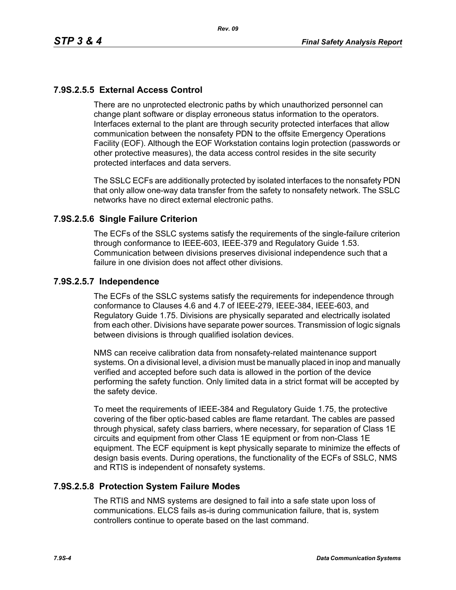# **7.9S.2.5.5 External Access Control**

There are no unprotected electronic paths by which unauthorized personnel can change plant software or display erroneous status information to the operators. Interfaces external to the plant are through security protected interfaces that allow communication between the nonsafety PDN to the offsite Emergency Operations Facility (EOF). Although the EOF Workstation contains login protection (passwords or other protective measures), the data access control resides in the site security protected interfaces and data servers.

The SSLC ECFs are additionally protected by isolated interfaces to the nonsafety PDN that only allow one-way data transfer from the safety to nonsafety network. The SSLC networks have no direct external electronic paths.

### **7.9S.2.5.6 Single Failure Criterion**

The ECFs of the SSLC systems satisfy the requirements of the single-failure criterion through conformance to IEEE-603, IEEE-379 and Regulatory Guide 1.53. Communication between divisions preserves divisional independence such that a failure in one division does not affect other divisions.

### **7.9S.2.5.7 Independence**

The ECFs of the SSLC systems satisfy the requirements for independence through conformance to Clauses 4.6 and 4.7 of IEEE-279, IEEE-384, IEEE-603, and Regulatory Guide 1.75. Divisions are physically separated and electrically isolated from each other. Divisions have separate power sources. Transmission of logic signals between divisions is through qualified isolation devices.

NMS can receive calibration data from nonsafety-related maintenance support systems. On a divisional level, a division must be manually placed in inop and manually verified and accepted before such data is allowed in the portion of the device performing the safety function. Only limited data in a strict format will be accepted by the safety device.

To meet the requirements of IEEE-384 and Regulatory Guide 1.75, the protective covering of the fiber optic-based cables are flame retardant. The cables are passed through physical, safety class barriers, where necessary, for separation of Class 1E circuits and equipment from other Class 1E equipment or from non-Class 1E equipment. The ECF equipment is kept physically separate to minimize the effects of design basis events. During operations, the functionality of the ECFs of SSLC, NMS and RTIS is independent of nonsafety systems.

### **7.9S.2.5.8 Protection System Failure Modes**

The RTIS and NMS systems are designed to fail into a safe state upon loss of communications. ELCS fails as-is during communication failure, that is, system controllers continue to operate based on the last command.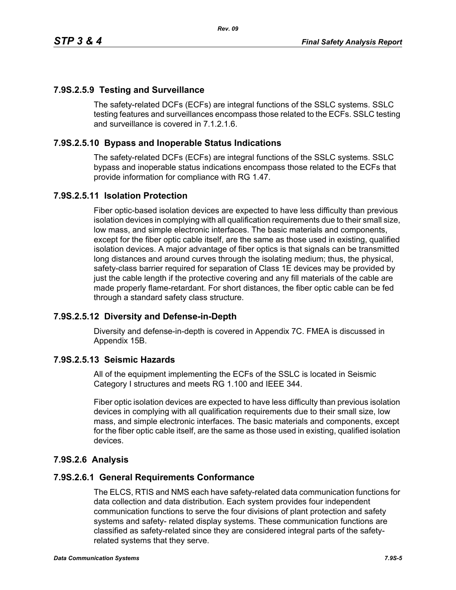## **7.9S.2.5.9 Testing and Surveillance**

The safety-related DCFs (ECFs) are integral functions of the SSLC systems. SSLC testing features and surveillances encompass those related to the ECFs. SSLC testing and surveillance is covered in 7.1.2.1.6.

### **7.9S.2.5.10 Bypass and Inoperable Status Indications**

The safety-related DCFs (ECFs) are integral functions of the SSLC systems. SSLC bypass and inoperable status indications encompass those related to the ECFs that provide information for compliance with RG 1.47.

### **7.9S.2.5.11 Isolation Protection**

Fiber optic-based isolation devices are expected to have less difficulty than previous isolation devices in complying with all qualification requirements due to their small size, low mass, and simple electronic interfaces. The basic materials and components, except for the fiber optic cable itself, are the same as those used in existing, qualified isolation devices. A major advantage of fiber optics is that signals can be transmitted long distances and around curves through the isolating medium; thus, the physical, safety-class barrier required for separation of Class 1E devices may be provided by just the cable length if the protective covering and any fill materials of the cable are made properly flame-retardant. For short distances, the fiber optic cable can be fed through a standard safety class structure.

### **7.9S.2.5.12 Diversity and Defense-in-Depth**

Diversity and defense-in-depth is covered in Appendix 7C. FMEA is discussed in Appendix 15B.

### **7.9S.2.5.13 Seismic Hazards**

All of the equipment implementing the ECFs of the SSLC is located in Seismic Category I structures and meets RG 1.100 and IEEE 344.

Fiber optic isolation devices are expected to have less difficulty than previous isolation devices in complying with all qualification requirements due to their small size, low mass, and simple electronic interfaces. The basic materials and components, except for the fiber optic cable itself, are the same as those used in existing, qualified isolation devices.

### **7.9S.2.6 Analysis**

#### **7.9S.2.6.1 General Requirements Conformance**

The ELCS, RTIS and NMS each have safety-related data communication functions for data collection and data distribution. Each system provides four independent communication functions to serve the four divisions of plant protection and safety systems and safety- related display systems. These communication functions are classified as safety-related since they are considered integral parts of the safetyrelated systems that they serve.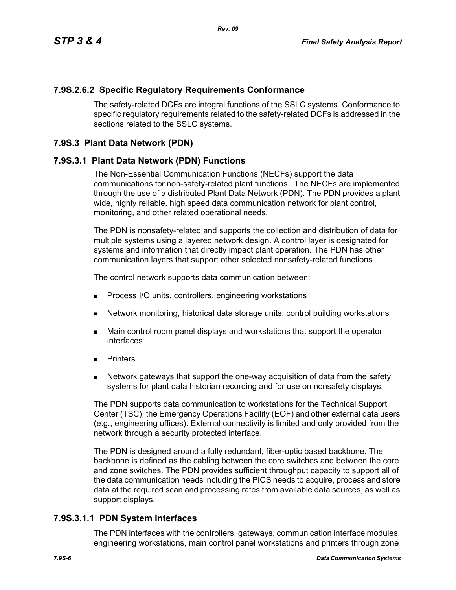### **7.9S.2.6.2 Specific Regulatory Requirements Conformance**

The safety-related DCFs are integral functions of the SSLC systems. Conformance to specific regulatory requirements related to the safety-related DCFs is addressed in the sections related to the SSLC systems.

### **7.9S.3 Plant Data Network (PDN)**

### **7.9S.3.1 Plant Data Network (PDN) Functions**

The Non-Essential Communication Functions (NECFs) support the data communications for non-safety-related plant functions. The NECFs are implemented through the use of a distributed Plant Data Network (PDN). The PDN provides a plant wide, highly reliable, high speed data communication network for plant control, monitoring, and other related operational needs.

The PDN is nonsafety-related and supports the collection and distribution of data for multiple systems using a layered network design. A control layer is designated for systems and information that directly impact plant operation. The PDN has other communication layers that support other selected nonsafety-related functions.

The control network supports data communication between:

- **Process I/O units, controllers, engineering workstations**
- Network monitoring, historical data storage units, control building workstations
- **Main control room panel displays and workstations that support the operator** interfaces
- **Printers**
- Network gateways that support the one-way acquisition of data from the safety systems for plant data historian recording and for use on nonsafety displays.

The PDN supports data communication to workstations for the Technical Support Center (TSC), the Emergency Operations Facility (EOF) and other external data users (e.g., engineering offices). External connectivity is limited and only provided from the network through a security protected interface.

The PDN is designed around a fully redundant, fiber-optic based backbone. The backbone is defined as the cabling between the core switches and between the core and zone switches. The PDN provides sufficient throughput capacity to support all of the data communication needs including the PICS needs to acquire, process and store data at the required scan and processing rates from available data sources, as well as support displays.

### **7.9S.3.1.1 PDN System Interfaces**

The PDN interfaces with the controllers, gateways, communication interface modules, engineering workstations, main control panel workstations and printers through zone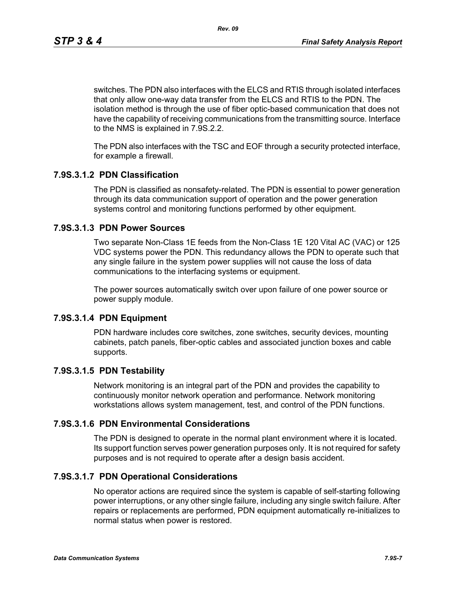*Rev. 09*

switches. The PDN also interfaces with the ELCS and RTIS through isolated interfaces that only allow one-way data transfer from the ELCS and RTIS to the PDN. The isolation method is through the use of fiber optic-based communication that does not have the capability of receiving communications from the transmitting source. Interface to the NMS is explained in 7.9S.2.2.

The PDN also interfaces with the TSC and EOF through a security protected interface, for example a firewall.

## **7.9S.3.1.2 PDN Classification**

The PDN is classified as nonsafety-related. The PDN is essential to power generation through its data communication support of operation and the power generation systems control and monitoring functions performed by other equipment.

## **7.9S.3.1.3 PDN Power Sources**

Two separate Non-Class 1E feeds from the Non-Class 1E 120 Vital AC (VAC) or 125 VDC systems power the PDN. This redundancy allows the PDN to operate such that any single failure in the system power supplies will not cause the loss of data communications to the interfacing systems or equipment.

The power sources automatically switch over upon failure of one power source or power supply module.

### **7.9S.3.1.4 PDN Equipment**

PDN hardware includes core switches, zone switches, security devices, mounting cabinets, patch panels, fiber-optic cables and associated junction boxes and cable supports.

## **7.9S.3.1.5 PDN Testability**

Network monitoring is an integral part of the PDN and provides the capability to continuously monitor network operation and performance. Network monitoring workstations allows system management, test, and control of the PDN functions.

### **7.9S.3.1.6 PDN Environmental Considerations**

The PDN is designed to operate in the normal plant environment where it is located. Its support function serves power generation purposes only. It is not required for safety purposes and is not required to operate after a design basis accident.

## **7.9S.3.1.7 PDN Operational Considerations**

No operator actions are required since the system is capable of self-starting following power interruptions, or any other single failure, including any single switch failure. After repairs or replacements are performed, PDN equipment automatically re-initializes to normal status when power is restored.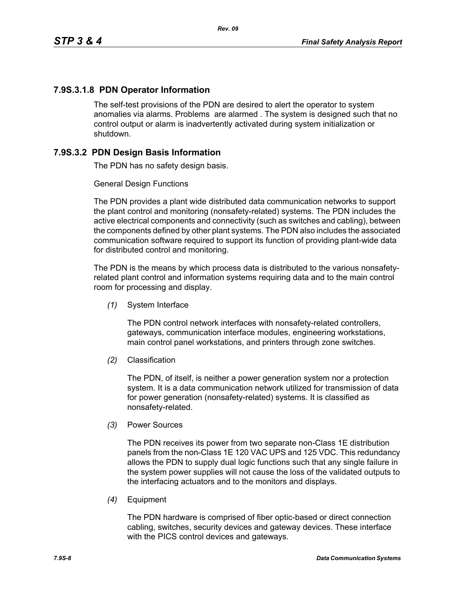# **7.9S.3.1.8 PDN Operator Information**

The self-test provisions of the PDN are desired to alert the operator to system anomalies via alarms. Problems are alarmed . The system is designed such that no control output or alarm is inadvertently activated during system initialization or shutdown.

# **7.9S.3.2 PDN Design Basis Information**

The PDN has no safety design basis.

### General Design Functions

The PDN provides a plant wide distributed data communication networks to support the plant control and monitoring (nonsafety-related) systems. The PDN includes the active electrical components and connectivity (such as switches and cabling), between the components defined by other plant systems. The PDN also includes the associated communication software required to support its function of providing plant-wide data for distributed control and monitoring.

The PDN is the means by which process data is distributed to the various nonsafetyrelated plant control and information systems requiring data and to the main control room for processing and display.

*(1)* System Interface

The PDN control network interfaces with nonsafety-related controllers, gateways, communication interface modules, engineering workstations, main control panel workstations, and printers through zone switches.

*(2)* Classification

The PDN, of itself, is neither a power generation system nor a protection system. It is a data communication network utilized for transmission of data for power generation (nonsafety-related) systems. It is classified as nonsafety-related.

*(3)* Power Sources

The PDN receives its power from two separate non-Class 1E distribution panels from the non-Class 1E 120 VAC UPS and 125 VDC. This redundancy allows the PDN to supply dual logic functions such that any single failure in the system power supplies will not cause the loss of the validated outputs to the interfacing actuators and to the monitors and displays.

*(4)* Equipment

The PDN hardware is comprised of fiber optic-based or direct connection cabling, switches, security devices and gateway devices. These interface with the PICS control devices and gateways.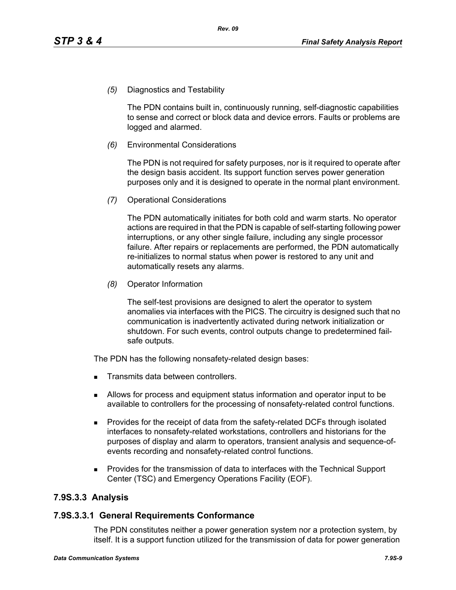*(5)* Diagnostics and Testability

The PDN contains built in, continuously running, self-diagnostic capabilities to sense and correct or block data and device errors. Faults or problems are logged and alarmed.

*(6)* Environmental Considerations

The PDN is not required for safety purposes, nor is it required to operate after the design basis accident. Its support function serves power generation purposes only and it is designed to operate in the normal plant environment.

*(7)* Operational Considerations

The PDN automatically initiates for both cold and warm starts. No operator actions are required in that the PDN is capable of self-starting following power interruptions, or any other single failure, including any single processor failure. After repairs or replacements are performed, the PDN automatically re-initializes to normal status when power is restored to any unit and automatically resets any alarms.

*(8)* Operator Information

The self-test provisions are designed to alert the operator to system anomalies via interfaces with the PICS. The circuitry is designed such that no communication is inadvertently activated during network initialization or shutdown. For such events, control outputs change to predetermined failsafe outputs.

The PDN has the following nonsafety-related design bases:

- Transmits data between controllers.
- Allows for process and equipment status information and operator input to be available to controllers for the processing of nonsafety-related control functions.
- **Provides for the receipt of data from the safety-related DCFs through isolated** interfaces to nonsafety-related workstations, controllers and historians for the purposes of display and alarm to operators, transient analysis and sequence-ofevents recording and nonsafety-related control functions.
- Provides for the transmission of data to interfaces with the Technical Support Center (TSC) and Emergency Operations Facility (EOF).

### **7.9S.3.3 Analysis**

#### **7.9S.3.3.1 General Requirements Conformance**

The PDN constitutes neither a power generation system nor a protection system, by itself. It is a support function utilized for the transmission of data for power generation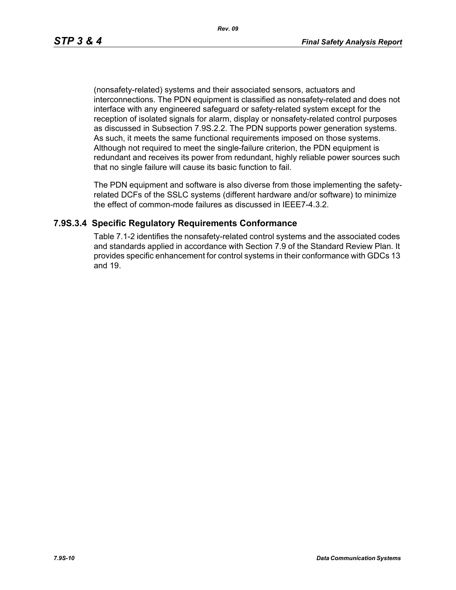(nonsafety-related) systems and their associated sensors, actuators and interconnections. The PDN equipment is classified as nonsafety-related and does not interface with any engineered safeguard or safety-related system except for the reception of isolated signals for alarm, display or nonsafety-related control purposes as discussed in Subsection 7.9S.2.2. The PDN supports power generation systems. As such, it meets the same functional requirements imposed on those systems. Although not required to meet the single-failure criterion, the PDN equipment is redundant and receives its power from redundant, highly reliable power sources such that no single failure will cause its basic function to fail.

The PDN equipment and software is also diverse from those implementing the safetyrelated DCFs of the SSLC systems (different hardware and/or software) to minimize the effect of common-mode failures as discussed in IEEE7-4.3.2.

### **7.9S.3.4 Specific Regulatory Requirements Conformance**

Table 7.1-2 identifies the nonsafety-related control systems and the associated codes and standards applied in accordance with Section 7.9 of the Standard Review Plan. It provides specific enhancement for control systems in their conformance with GDCs 13 and 19.